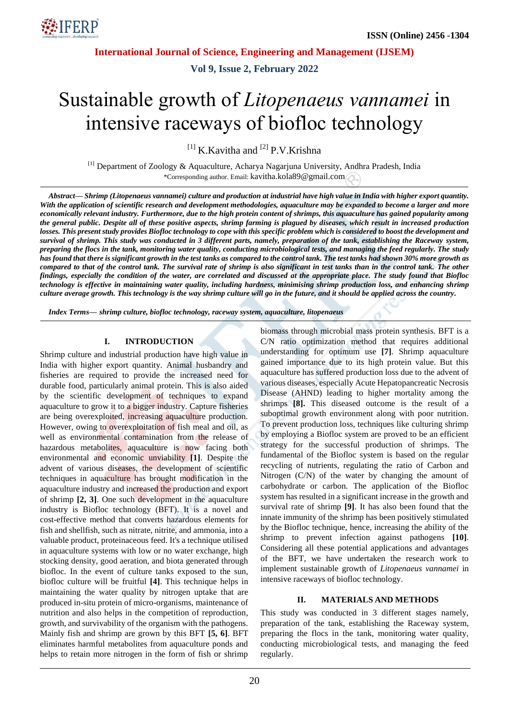

**Vol 9, Issue 2, February 2022**

# Sustainable growth of *Litopenaeus vannamei* in intensive raceways of biofloc technology

 $^{[1]}$  K.Kavitha and  $^{[2]}$  P.V.Krishna

[1] Department of Zoology & Aquaculture, Acharya Nagarjuna University, Andhra Pradesh, India \*Corresponding author. Email: kavitha.kola89@gmail.com

*Abstract— Shrimp (Litopenaeus vannamei) culture and production at industrial have high value in India with higher export quantity. With the application of scientific research and development methodologies, aquaculture may be expanded to become a larger and more economically relevant industry. Furthermore, due to the high protein content of shrimps, this aquaculture has gained popularity among the general public. Despite all of these positive aspects, shrimp farming is plagued by diseases, which result in increased production losses. This present study provides Biofloc technology to cope with this specific problem which is considered to boost the development and survival of shrimp. This study was conducted in 3 different parts, namely, preparation of the tank, establishing the Raceway system, preparing the flocs in the tank, monitoring water quality, conducting microbiological tests, and managing the feed regularly. The study has found that there is significant growth in the test tanks as compared to the control tank. The test tanks had shown 30% more growth as compared to that of the control tank. The survival rate of shrimp is also significant in test tanks than in the control tank. The other findings, especially the condition of the water, are correlated and discussed at the appropriate place. The study found that Biofloc technology is effective in maintaining water quality, including hardness, minimising shrimp production loss, and enhancing shrimp culture average growth. This technology is the way shrimp culture will go in the future, and it should be applied across the country.*

*Index Terms— shrimp culture, biofloc technology, raceway system, aquaculture, litopenaeus*

#### **I. INTRODUCTION**

Shrimp culture and industrial production have high value in India with higher export quantity. Animal husbandry and fisheries are required to provide the increased need for durable food, particularly animal protein. This is also aided by the scientific development of techniques to expand aquaculture to grow it to a bigger industry. Capture fisheries are being overexploited, increasing aquaculture production. However, owing to overexploitation of fish meal and oil, as well as environmental contamination from the release of hazardous metabolites, aquaculture is now facing both environmental and economic unviability **[1]**. Despite the advent of various diseases, the development of scientific techniques in aquaculture has brought modification in the aquaculture industry and increased the production and export of shrimp **[2, 3]**. One such development in the aquaculture industry is Biofloc technology (BFT). It is a novel and cost-effective method that converts hazardous elements for fish and shellfish, such as nitrate, nitrite, and ammonia, into a valuable product, proteinaceous feed. It's a technique utilised in aquaculture systems with low or no water exchange, high stocking density, good aeration, and biota generated through biofloc. In the event of culture tanks exposed to the sun, biofloc culture will be fruitful **[4]**. This technique helps in maintaining the water quality by nitrogen uptake that are produced in-situ protein of micro-organisms, maintenance of nutrition and also helps in the competition of reproduction, growth, and survivability of the organism with the pathogens. Mainly fish and shrimp are grown by this BFT **[5, 6]**. BFT eliminates harmful metabolites from aquaculture ponds and helps to retain more nitrogen in the form of fish or shrimp biomass through microbial mass protein synthesis. BFT is a C/N ratio optimization method that requires additional understanding for optimum use **[7]**. Shrimp aquaculture gained importance due to its high protein value. But this aquaculture has suffered production loss due to the advent of various diseases, especially Acute Hepatopancreatic Necrosis Disease (AHND) leading to higher mortality among the shrimps **[8].** This diseased outcome is the result of a suboptimal growth environment along with poor nutrition. To prevent production loss, techniques like culturing shrimp by employing a Biofloc system are proved to be an efficient strategy for the successful production of shrimps. The fundamental of the Biofloc system is based on the regular recycling of nutrients, regulating the ratio of Carbon and Nitrogen (C/N) of the water by changing the amount of carbohydrate or carbon. The application of the Biofloc system has resulted in a significant increase in the growth and survival rate of shrimp **[9]**. It has also been found that the innate immunity of the shrimp has been positively stimulated by the Biofloc technique, hence, increasing the ability of the shrimp to prevent infection against pathogens **[10]**. Considering all these potential applications and advantages of the BFT, we have undertaken the research work to implement sustainable growth of *Litopenaeus vannamei* in intensive raceways of biofloc technology.

#### **II. MATERIALS AND METHODS**

This study was conducted in 3 different stages namely, preparation of the tank, establishing the Raceway system, preparing the flocs in the tank, monitoring water quality, conducting microbiological tests, and managing the feed regularly.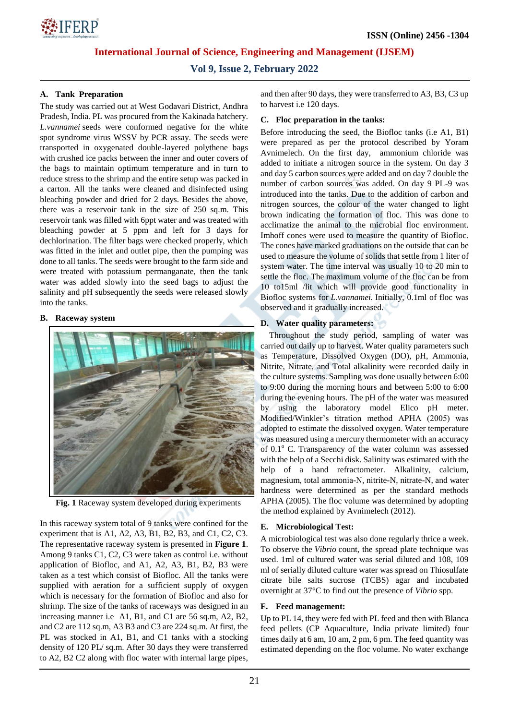

**Vol 9, Issue 2, February 2022**

## **A. Tank Preparation**

The study was carried out at West Godavari District, Andhra Pradesh, India. PL was procured from the Kakinada hatchery*. L.vannamei* seeds were conformed negative for the white spot syndrome virus WSSV by PCR assay. The seeds were transported in oxygenated double-layered polythene bags with crushed ice packs between the inner and outer covers of the bags to maintain optimum temperature and in turn to reduce stress to the shrimp and the entire setup was packed in a carton. All the tanks were cleaned and disinfected using bleaching powder and dried for 2 days. Besides the above, there was a reservoir tank in the size of 250 sq.m. This reservoir tank was filled with 6ppt water and was treated with bleaching powder at 5 ppm and left for 3 days for dechlorination. The filter bags were checked properly, which was fitted in the inlet and outlet pipe, then the pumping was done to all tanks. The seeds were brought to the farm side and were treated with potassium permanganate, then the tank water was added slowly into the seed bags to adjust the salinity and pH subsequently the seeds were released slowly into the tanks.

#### **B. Raceway system**



**Fig. 1** Raceway system developed during experiments

In this raceway system total of 9 tanks were confined for the experiment that is A1, A2, A3, B1, B2, B3, and C1, C2, C3. The representative raceway system is presented in **Figure 1**. Among 9 tanks C1, C2, C3 were taken as control i.e. without application of Biofloc, and A1, A2, A3, B1, B2, B3 were taken as a test which consist of Biofloc. All the tanks were supplied with aeration for a sufficient supply of oxygen which is necessary for the formation of Biofloc and also for shrimp. The size of the tanks of raceways was designed in an increasing manner i.e A1, B1, and C1 are 56 sq.m, A2, B2, and C2 are 112 sq.m, A3 B3 and C3 are 224 sq.m. At first, the PL was stocked in A1, B1, and C1 tanks with a stocking density of 120 PL/ sq.m. After 30 days they were transferred to A2, B2 C2 along with floc water with internal large pipes, and then after 90 days, they were transferred to A3, B3, C3 up to harvest i.e 120 days.

### **C. Floc preparation in the tanks:**

Before introducing the seed, the Biofloc tanks (i.e A1, B1) were prepared as per the protocol described by Yoram Avnimelech. On the first day, ammonium chloride was added to initiate a nitrogen source in the system. On day 3 and day 5 carbon sources were added and on day 7 double the number of carbon sources was added. On day 9 PL-9 was introduced into the tanks. Due to the addition of carbon and nitrogen sources, the colour of the water changed to light brown indicating the formation of floc. This was done to acclimatize the animal to the microbial floc environment. Imhoff cones were used to measure the quantity of Biofloc. The cones have marked graduations on the outside that can be used to measure the volume of solids that settle from 1 liter of system water. The time interval was usually 10 to 20 min to settle the floc. The maximum volume of the floc can be from 10 to15ml /lit which will provide good functionality in Biofloc systems for *L.vannamei.* Initially, 0.1ml of floc was observed and it gradually increased.

#### **D. Water quality parameters:**

Throughout the study period, sampling of water was carried out daily up to harvest. Water quality parameters such as Temperature, Dissolved Oxygen (DO), pH, Ammonia, Nitrite, Nitrate, and Total alkalinity were recorded daily in the culture systems. Sampling was done usually between 6:00 to 9:00 during the morning hours and between 5:00 to 6:00 during the evening hours. The pH of the water was measured by using the laboratory model Elico pH meter. Modified/Winkler's titration method APHA (2005) was adopted to estimate the dissolved oxygen. Water temperature was measured using a mercury thermometer with an accuracy of  $0.1^\circ$  C. Transparency of the water column was assessed with the help of a Secchi disk. Salinity was estimated with the help of a hand refractometer. Alkalinity, calcium, magnesium, total ammonia-N, nitrite-N, nitrate-N, and water hardness were determined as per the standard methods APHA (2005). The floc volume was determined by adopting the method explained by Avnimelech (2012).

## **E. Microbiological Test:**

A microbiological test was also done regularly thrice a week. To observe the *Vibrio* count, the spread plate technique was used. 1ml of cultured water was serial diluted and 108, 109 ml of serially diluted culture water was spread on Thiosulfate citrate bile salts sucrose (TCBS) agar and incubated overnight at 37°C to find out the presence of *Vibrio* spp.

## **F. Feed management:**

Up to PL 14, they were fed with PL feed and then with Blanca feed pellets (CP Aquaculture, India private limited) four times daily at 6 am, 10 am, 2 pm, 6 pm. The feed quantity was estimated depending on the floc volume. No water exchange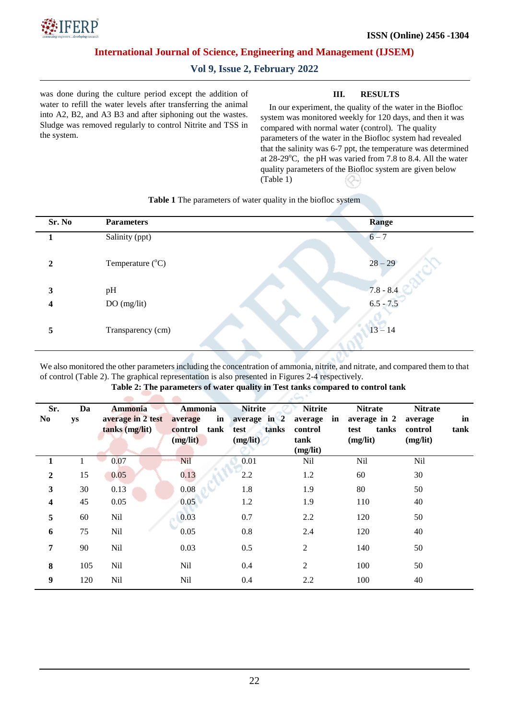

# **Vol 9, Issue 2, February 2022**

was done during the culture period except the addition of water to refill the water levels after transferring the animal into A2, B2, and A3 B3 and after siphoning out the wastes. Sludge was removed regularly to control Nitrite and TSS in the system.

### **III. RESULTS**

In our experiment, the quality of the water in the Biofloc system was monitored weekly for 120 days, and then it was compared with normal water (control). The quality parameters of the water in the Biofloc system had revealed that the salinity was 6-7 ppt, the temperature was determined at  $28-29^{\circ}$ C, the pH was varied from 7.8 to 8.4. All the water quality parameters of the Biofloc system are given below (Table 1)

| Sr. No       | <b>Parameters</b>         | Range       |
|--------------|---------------------------|-------------|
|              | Salinity (ppt)            | $6 - 7$     |
| $\mathbf{2}$ | Temperature $(^{\circ}C)$ | $28 - 29$   |
| 3            | pH                        | $7.8 - 8.4$ |
| 4            | DO(mg/lit)                | $6.5 - 7.5$ |
| 5            | Transparency (cm)         | $13 - 14$   |

#### **Table 1** The parameters of water quality in the biofloc system

We also monitored the other parameters including the concentration of ammonia, nitrite, and nitrate, and compared them to that of control (Table 2). The graphical representation is also presented in Figures 2-4 respectively.

#### **Table 2: The parameters of water quality in Test tanks compared to control tank**

| Sr.<br>N <sub>0</sub>   | Da<br>ys | <b>Ammonia</b><br>average in 2 test<br>tanks (mg/lit) | <b>Ammonia</b><br>in<br>average<br>tank<br>control<br>(mg/lit) | <b>Nitrite</b><br>average in 2<br>tanks<br>test<br>(mg/lit) | <b>Nitrite</b><br>in<br>average<br>control<br>tank<br>(mg/lit) | <b>Nitrate</b><br>average in 2<br>tanks<br>test<br>(mg/lit) | <b>Nitrate</b><br>average<br>control<br>(mg/lit) | in<br>tank |
|-------------------------|----------|-------------------------------------------------------|----------------------------------------------------------------|-------------------------------------------------------------|----------------------------------------------------------------|-------------------------------------------------------------|--------------------------------------------------|------------|
|                         |          | 0.07                                                  | <b>Nil</b>                                                     | 0.01                                                        | <b>Nil</b>                                                     | Nil                                                         | Nil                                              |            |
| $\overline{2}$          | 15       | 0.05                                                  | 0.13                                                           | 2.2                                                         | 1.2                                                            | 60                                                          | 30                                               |            |
| $\mathbf{3}$            | 30       | 0.13                                                  | 0.08                                                           | 1.8                                                         | 1.9                                                            | 80                                                          | 50                                               |            |
| $\overline{\mathbf{4}}$ | 45       | 0.05                                                  | 0.05                                                           | 1.2                                                         | 1.9                                                            | 110                                                         | 40                                               |            |
| 5                       | 60       | Nil                                                   | 0.03                                                           | 0.7                                                         | 2.2                                                            | 120                                                         | 50                                               |            |
| 6                       | 75       | Nil                                                   | 0.05                                                           | 0.8                                                         | 2.4                                                            | 120                                                         | 40                                               |            |
| 7                       | 90       | Nil                                                   | 0.03                                                           | 0.5                                                         | $\overline{c}$                                                 | 140                                                         | 50                                               |            |
| 8                       | 105      | Nil                                                   | Nil                                                            | 0.4                                                         | $\overline{2}$                                                 | 100                                                         | 50                                               |            |
| 9                       | 120      | Nil                                                   | Nil                                                            | 0.4                                                         | 2.2                                                            | 100                                                         | 40                                               |            |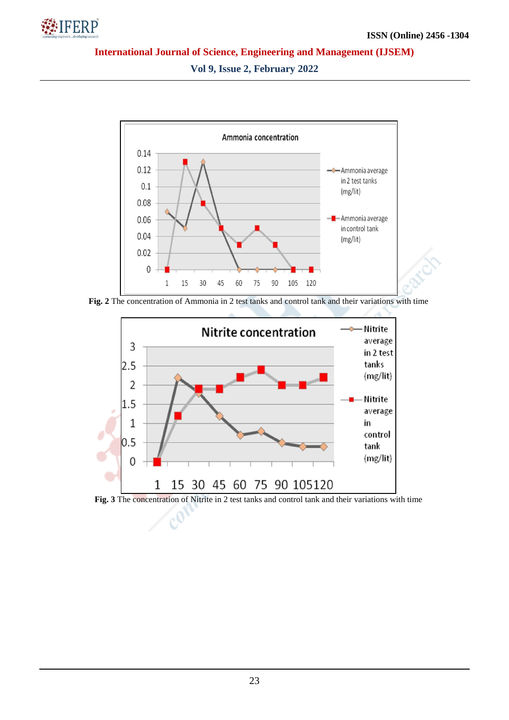

**Vol 9, Issue 2, February 2022**



**Fig. 2** The concentration of Ammonia in 2 test tanks and control tank and their variations with time



 $\mathcal{C}_0$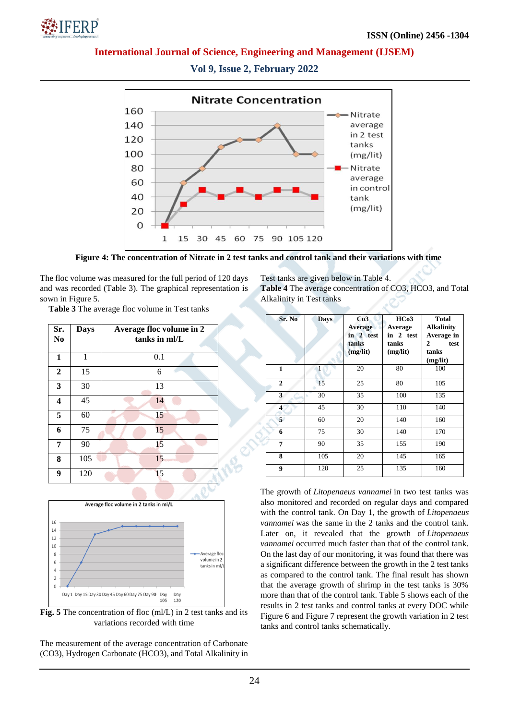



**Vol 9, Issue 2, February 2022**

**Figure 4: The concentration of Nitrate in 2 test tanks and control tank and their variations with time**

The floc volume was measured for the full period of 120 days and was recorded (Table 3). The graphical representation is sown in Figure 5.

**Table 3** The average floc volume in Test tanks

| Sr.<br>N <sub>0</sub> | <b>Days</b> | Average floc volume in 2<br>tanks in ml/L |
|-----------------------|-------------|-------------------------------------------|
| $\mathbf{1}$          | 1           | 0.1                                       |
| $\boldsymbol{2}$      | 15          | 6                                         |
| $\mathbf{3}$          | 30          | 13                                        |
| 4                     | 45          | 14                                        |
| 5                     | 60          | 15                                        |
| 6                     | 75          | 15                                        |
| 7                     | 90          | 15                                        |
| 8                     | 105         | 15                                        |
| 9                     | 120         | 15                                        |



**Fig. 5** The concentration of floc (ml/L) in 2 test tanks and its variations recorded with time

The measurement of the average concentration of Carbonate (CO3), Hydrogen Carbonate (HCO3), and Total Alkalinity in Test tanks are given below in Table 4.

**Table 4** The average concentration of CO3, HCO3, and Total Alkalinity in Test tanks

| Sr. No                  | <b>Days</b> | Co3<br><b>Average</b><br>in 2 test<br>tanks<br>(mg/lit) | HCo3<br>Average<br>in 2 test<br>tanks<br>(mg/lit) | <b>Total</b><br><b>Alkalinity</b><br>Average in<br>test<br>2<br>tanks<br>(mg/lit) |
|-------------------------|-------------|---------------------------------------------------------|---------------------------------------------------|-----------------------------------------------------------------------------------|
| $\mathbf{1}$            |             | 20                                                      | 80                                                | 100                                                                               |
| $\overline{2}$          | 15          | 25                                                      | 80                                                | 105                                                                               |
| 3                       | 30          | 35                                                      | 100                                               | 135                                                                               |
| $\overline{\mathbf{4}}$ | 45          | 30                                                      | 110                                               | 140                                                                               |
| 5                       | 60          | 20                                                      | 140                                               | 160                                                                               |
| 6                       | 75          | 30                                                      | 140                                               | 170                                                                               |
| $\overline{7}$          | 90          | 35                                                      | 155                                               | 190                                                                               |
| 8                       | 105         | 20                                                      | 145                                               | 165                                                                               |
| 9                       | 120         | 25                                                      | 135                                               | 160                                                                               |

The growth of *Litopenaeus vannamei* in two test tanks was also monitored and recorded on regular days and compared with the control tank. On Day 1, the growth of *Litopenaeus vannamei* was the same in the 2 tanks and the control tank. Later on, it revealed that the growth of *Litopenaeus vannamei* occurred much faster than that of the control tank. On the last day of our monitoring, it was found that there was a significant difference between the growth in the 2 test tanks as compared to the control tank. The final result has shown that the average growth of shrimp in the test tanks is 30% more than that of the control tank. Table 5 shows each of the results in 2 test tanks and control tanks at every DOC while Figure 6 and Figure 7 represent the growth variation in 2 test tanks and control tanks schematically.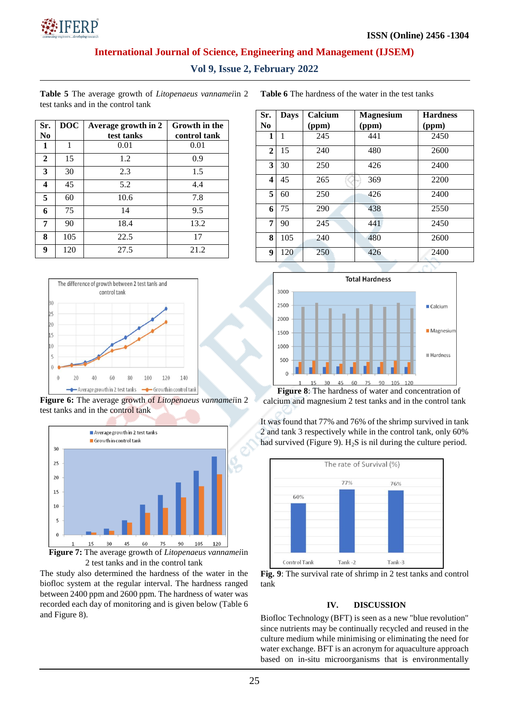

**Vol 9, Issue 2, February 2022**

**Table 5** The average growth of *Litopenaeus vannamei*in 2 test tanks and in the control tank

**Table 6** The hardness of the water in the test tanks

| Sr.<br>N <sub>0</sub> | DOC | Average growth in 2<br>test tanks | Growth in the<br>control tank |
|-----------------------|-----|-----------------------------------|-------------------------------|
| 1                     | 1   | 0.01                              | 0.01                          |
| $\mathbf{2}$          | 15  | 1.2                               | 0.9                           |
| 3                     | 30  | 2.3                               | 1.5                           |
| 4                     | 45  | 5.2                               | 4.4                           |
| 5                     | 60  | 10.6                              | 7.8                           |
| 6                     | 75  | 14                                | 9.5                           |
| 7                     | 90  | 18.4                              | 13.2                          |
| 8                     | 105 | 22.5                              | 17                            |
| 9                     | 120 | 27.5                              | 21.2                          |



**Figure 6:** The average growth of *Litopenaeus vannamei*in 2 test tanks and in the control tank



The study also determined the hardness of the water in the biofloc system at the regular interval. The hardness ranged between 2400 ppm and 2600 ppm. The hardness of water was recorded each day of monitoring and is given below (Table 6 and Figure 8).

| Sr.<br>N <sub>0</sub> | <b>Days</b> | Calcium<br>(ppm) | <b>Magnesium</b><br>(ppm) | <b>Hardness</b><br>(ppm) |
|-----------------------|-------------|------------------|---------------------------|--------------------------|
| 1                     | 1           | 245              | 441                       | 2450                     |
| $\mathbf{2}$          | 15          | 240              | 480                       | 2600                     |
| 3                     | 30          | 250              | 426                       | 2400                     |
| 4                     | 45          | 265              | 369                       | 2200                     |
| 5                     | 60          | 250              | 426                       | 2400                     |
| 6                     | 75          | 290              | 438                       | 2550                     |
| 7                     | 90          | 245              | 441                       | 2450                     |
| 8                     | 105         | 240              | 480                       | 2600                     |
| 9                     | 120         | 250              | 426                       | 2400                     |



calcium and magnesium 2 test tanks and in the control tank

It was found that 77% and 76% of the shrimp survived in tank 2 and tank 3 respectively while in the control tank, only 60% had survived (Figure 9).  $H_2S$  is nil during the culture period.



**Fig. 9**: The survival rate of shrimp in 2 test tanks and control tank

## **IV. DISCUSSION**

Biofloc Technology (BFT) is seen as a new "blue revolution" since nutrients may be continually recycled and reused in the culture medium while minimising or eliminating the need for water exchange. BFT is an acronym for aquaculture approach based on in-situ microorganisms that is environmentally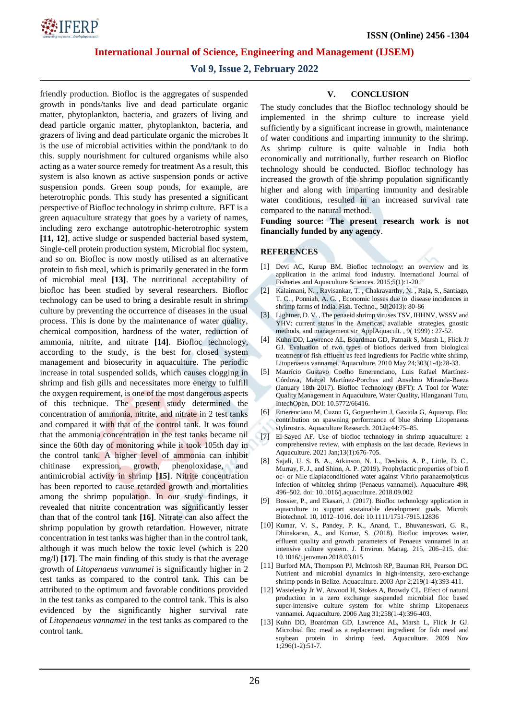

# **Vol 9, Issue 2, February 2022**

friendly production. Biofloc is the aggregates of suspended growth in ponds/tanks live and dead particulate organic matter, phytoplankton, bacteria, and grazers of living and dead particle organic matter, phytoplankton, bacteria, and grazers of living and dead particulate organic the microbes It is the use of microbial activities within the pond/tank to do this. supply nourishment for cultured organisms while also acting as a water source remedy for treatment As a result, this system is also known as active suspension ponds or active suspension ponds. Green soup ponds, for example, are heterotrophic ponds. This study has presented a significant perspective of Biofloc technology in shrimp culture. BFT is a green aquaculture strategy that goes by a variety of names, including zero exchange autotrophic-heterotrophic system **[11, 12]**, active sludge or suspended bacterial based system, Single-cell protein production system, Microbial floc system, and so on. Biofloc is now mostly utilised as an alternative protein to fish meal, which is primarily generated in the form of microbial meal **[13]**. The nutritional acceptability of biofloc has been studied by several researchers. Biofloc technology can be used to bring a desirable result in shrimp culture by preventing the occurrence of diseases in the usual process. This is done by the maintenance of water quality, chemical composition, hardness of the water, reduction of ammonia, nitrite, and nitrate **[14]**. Biofloc technology, according to the study, is the best for closed system management and biosecurity in aquaculture. The periodic increase in total suspended solids, which causes clogging in shrimp and fish gills and necessitates more energy to fulfill the oxygen requirement, is one of the most dangerous aspects of this technique. The present study determined the concentration of ammonia, nitrite, and nitrate in 2 test tanks and compared it with that of the control tank. It was found that the ammonia concentration in the test tanks became nil since the 60th day of monitoring while it took 105th day in the control tank. A higher level of ammonia can inhibit chitinase expression, growth, phenoloxidase, and antimicrobial activity in shrimp **[15]**. Nitrite concentration has been reported to cause retarded growth and mortalities among the shrimp population. In our study findings, it revealed that nitrite concentration was significantly lesser than that of the control tank **[16]**. Nitrate can also affect the shrimp population by growth retardation. However, nitrate concentration in test tanks was higher than in the control tank, although it was much below the toxic level (which is 220 mg/l) **[17]**. The main finding of this study is that the average growth of *Litopenaeus vannamei* is significantly higher in 2 test tanks as compared to the control tank. This can be attributed to the optimum and favorable conditions provided in the test tanks as compared to the control tank. This is also evidenced by the significantly higher survival rate of *Litopenaeus vannamei* in the test tanks as compared to the control tank.

#### **V. CONCLUSION**

The study concludes that the Biofloc technology should be implemented in the shrimp culture to increase yield sufficiently by a significant increase in growth, maintenance of water conditions and imparting immunity to the shrimp. As shrimp culture is quite valuable in India both economically and nutritionally, further research on Biofloc technology should be conducted. Biofloc technology has increased the growth of the shrimp population significantly higher and along with imparting immunity and desirable water conditions, resulted in an increased survival rate compared to the natural method.

**Funding source: The present research work is not financially funded by any agency**.

#### **REFERENCES**

- [1] Devi AC, Kurup BM. Biofloc technology: an overview and its application in the animal food industry. International Journal of Fisheries and Aquaculture Sciences. 2015;5(1):1-20.
- [2] Kalaimani, N. , Ravisankar, T. , Chakravarthy, N. , Raja, S., Santiago, T. C. , Ponniah, A. G. , Economic losses due to disease incidences in shrimp farms of India. Fish. Techno., 50(2013): 80-86
- [3] Lightner, D. V. , The penaeid shrimp viruses TSV, IHHNV, WSSV and YHV: current status in the Americas, available strategies, gnostic methods, and management str ApplAquacult. , 9( 1999) : 27-52.
- [4] Kuhn DD, Lawrence AL, Boardman GD, Patnaik S, Marsh L, Flick Jr GJ. Evaluation of two types of bioflocs derived from biological treatment of fish effluent as feed ingredients for Pacific white shrimp, Litopenaeus vannamei. Aquaculture. 2010 May 24;303(1-4):28-33.
- [5] Maurício Gustavo Coelho Emerenciano, Luis Rafael Martínez-Córdova, Marcel Martínez-Porchas and Anselmo Miranda-Baeza (January 18th 2017). Biofloc Technology (BFT): A Tool for Water Quality Management in Aquaculture, Water Quality, Hlanganani Tutu, IntechOpen, DOI: 10.5772/66416.
- [6] Emerenciano M, Cuzon G, Goguenheim J, Gaxiola G, Aquacop. Floc contribution on spawning performance of blue shrimp Litopenaeus stylirostris. Aquaculture Research. 2012a;44:75–85.
- [7] El-Sayed AF. Use of biofloc technology in shrimp aquaculture: a comprehensive review, with emphasis on the last decade. Reviews in Aquaculture. 2021 Jan;13(1):676-705.
- [8] Sajali, U. S. B. A., Atkinson, N. L., Desbois, A. P., Little, D. C., Murray, F. J., and Shinn, A. P. (2019). Prophylactic properties of bio fl oc- or Nile tilapiaconditioned water against Vibrio parahaemolyticus infection of whiteleg shrimp (Penaeus vannamei). Aquaculture 498, 496–502. doi: 10.1016/j.aquaculture. 2018.09.002
- [9] Bossier, P., and Ekasari, J. (2017). Biofloc technology application in aquaculture to support sustainable development goals. Microb. Biotechnol. 10, 1012–1016. doi: 10.1111/1751-7915.12836
- [10] Kumar, V. S., Pandey, P. K., Anand, T., Bhuvaneswari, G. R., Dhinakaran, A., and Kumar, S. (2018). Biofloc improves water, effluent quality and growth parameters of Penaeus vannamei in an intensive culture system. J. Environ. Manag. 215, 206–215. doi: 10.1016/j.jenvman.2018.03.015
- [11] Burford MA, Thompson PJ, McIntosh RP, Bauman RH, Pearson DC. Nutrient and microbial dynamics in high-intensity, zero-exchange shrimp ponds in Belize. Aquaculture. 2003 Apr 2;219(1-4):393-411.
- [12] Wasielesky Jr W, Atwood H, Stokes A, Browdy CL. Effect of natural production in a zero exchange suspended microbial floc based super-intensive culture system for white shrimp Litopenaeus vannamei. Aquaculture. 2006 Aug 31;258(1-4):396-403.
- [13] Kuhn DD, Boardman GD, Lawrence AL, Marsh L, Flick Jr GJ. Microbial floc meal as a replacement ingredient for fish meal and soybean protein in shrimp feed. Aquaculture. 2009 Nov  $1;296(1-2):51-7.$